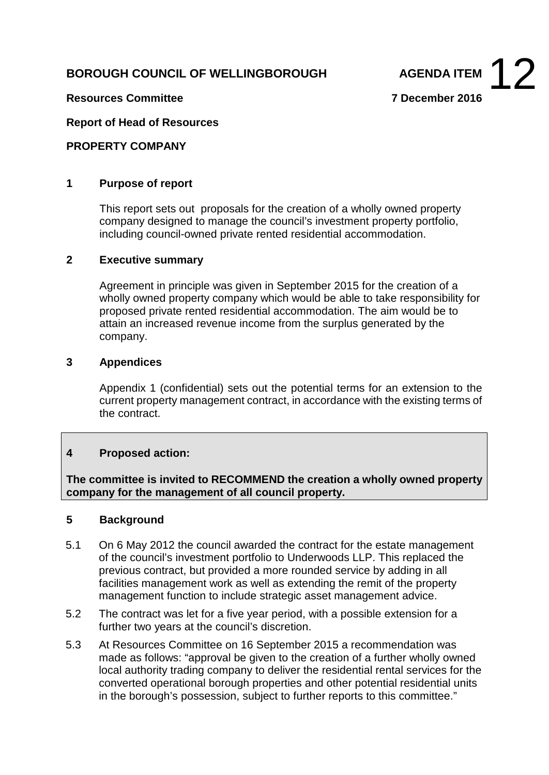# **BOROUGH COUNCIL OF WELLINGBOROUGH**



**Resources Committee 7 December 2016**

### **Report of Head of Resources**

#### **PROPERTY COMPANY**

#### **1 Purpose of report**

This report sets out proposals for the creation of a wholly owned property company designed to manage the council's investment property portfolio, including council-owned private rented residential accommodation.

# **2 Executive summary**

Agreement in principle was given in September 2015 for the creation of a wholly owned property company which would be able to take responsibility for proposed private rented residential accommodation. The aim would be to attain an increased revenue income from the surplus generated by the company.

#### **3 Appendices**

Appendix 1 (confidential) sets out the potential terms for an extension to the current property management contract, in accordance with the existing terms of the contract.

# **4 Proposed action:**

**The committee is invited to RECOMMEND the creation a wholly owned property company for the management of all council property.**

#### **5 Background**

- 5.1 On 6 May 2012 the council awarded the contract for the estate management of the council's investment portfolio to Underwoods LLP. This replaced the previous contract, but provided a more rounded service by adding in all facilities management work as well as extending the remit of the property management function to include strategic asset management advice.
- 5.2 The contract was let for a five year period, with a possible extension for a further two years at the council's discretion.
- 5.3 At Resources Committee on 16 September 2015 a recommendation was made as follows: "approval be given to the creation of a further wholly owned local authority trading company to deliver the residential rental services for the converted operational borough properties and other potential residential units in the borough's possession, subject to further reports to this committee."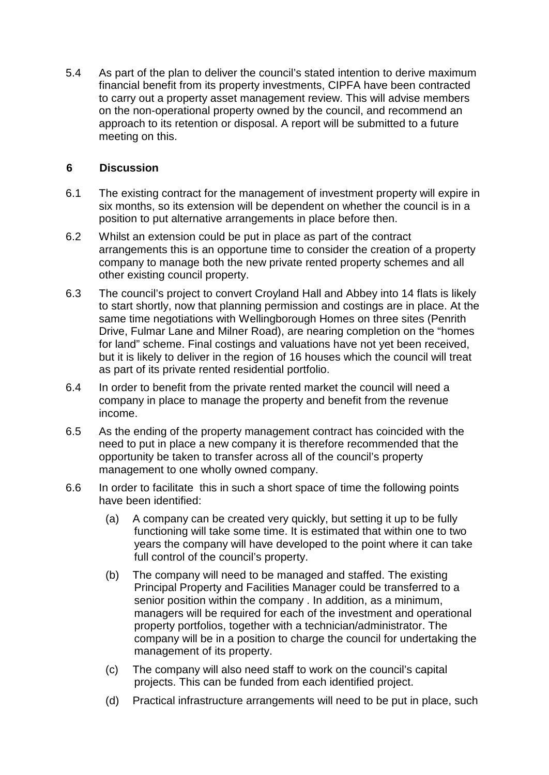5.4 As part of the plan to deliver the council's stated intention to derive maximum financial benefit from its property investments, CIPFA have been contracted to carry out a property asset management review. This will advise members on the non-operational property owned by the council, and recommend an approach to its retention or disposal. A report will be submitted to a future meeting on this.

# **6 Discussion**

- 6.1 The existing contract for the management of investment property will expire in six months, so its extension will be dependent on whether the council is in a position to put alternative arrangements in place before then.
- 6.2 Whilst an extension could be put in place as part of the contract arrangements this is an opportune time to consider the creation of a property company to manage both the new private rented property schemes and all other existing council property.
- 6.3 The council's project to convert Croyland Hall and Abbey into 14 flats is likely to start shortly, now that planning permission and costings are in place. At the same time negotiations with Wellingborough Homes on three sites (Penrith Drive, Fulmar Lane and Milner Road), are nearing completion on the "homes for land" scheme. Final costings and valuations have not yet been received, but it is likely to deliver in the region of 16 houses which the council will treat as part of its private rented residential portfolio.
- 6.4 In order to benefit from the private rented market the council will need a company in place to manage the property and benefit from the revenue income.
- 6.5 As the ending of the property management contract has coincided with the need to put in place a new company it is therefore recommended that the opportunity be taken to transfer across all of the council's property management to one wholly owned company.
- 6.6 In order to facilitate this in such a short space of time the following points have been identified:
	- (a) A company can be created very quickly, but setting it up to be fully functioning will take some time. It is estimated that within one to two years the company will have developed to the point where it can take full control of the council's property.
	- (b) The company will need to be managed and staffed. The existing Principal Property and Facilities Manager could be transferred to a senior position within the company . In addition, as a minimum, managers will be required for each of the investment and operational property portfolios, together with a technician/administrator. The company will be in a position to charge the council for undertaking the management of its property.
	- (c) The company will also need staff to work on the council's capital projects. This can be funded from each identified project.
	- (d) Practical infrastructure arrangements will need to be put in place, such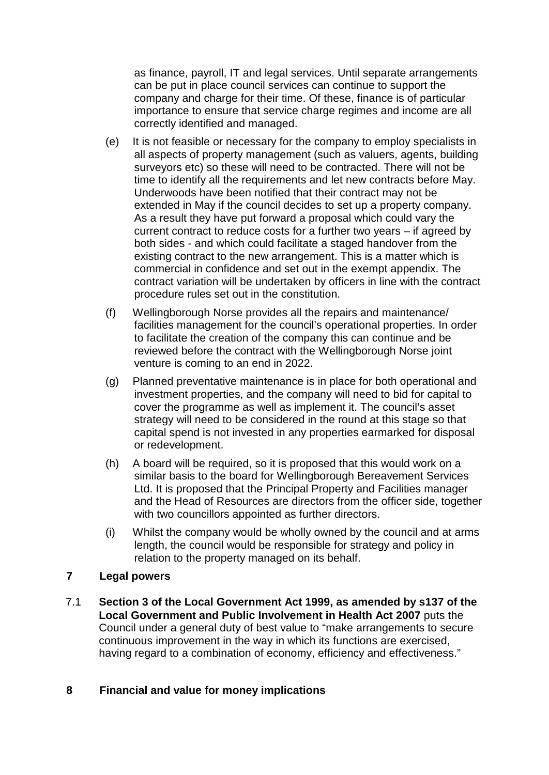as finance, payroll, IT and legal services. Until separate arrangements can be put in place council services can continue to support the company and charge for their time. Of these, finance is of particular importance to ensure that service charge regimes and income are all correctly identified and managed.

- (e) It is not feasible or necessary for the company to employ specialists in all aspects of property management (such as valuers, agents, building surveyors etc) so these will need to be contracted. There will not be time to identify all the requirements and let new contracts before May. Underwoods have been notified that their contract may not be extended in May if the council decides to set up a property company. As a result they have put forward a proposal which could vary the current contract to reduce costs for a further two years – if agreed by both sides - and which could facilitate a staged handover from the existing contract to the new arrangement. This is a matter which is commercial in confidence and set out in the exempt appendix. The contract variation will be undertaken by officers in line with the contract procedure rules set out in the constitution.
- (f) Wellingborough Norse provides all the repairs and maintenance/ facilities management for the council's operational properties. In order to facilitate the creation of the company this can continue and be reviewed before the contract with the Wellingborough Norse joint venture is coming to an end in 2022.
- (g) Planned preventative maintenance is in place for both operational and investment properties, and the company will need to bid for capital to cover the programme as well as implement it. The council's asset strategy will need to be considered in the round at this stage so that capital spend is not invested in any properties earmarked for disposal or redevelopment.
- (h) A board will be required, so it is proposed that this would work on a similar basis to the board for Wellingborough Bereavement Services Ltd. It is proposed that the Principal Property and Facilities manager and the Head of Resources are directors from the officer side, together with two councillors appointed as further directors.
- (i) Whilst the company would be wholly owned by the council and at arms length, the council would be responsible for strategy and policy in relation to the property managed on its behalf.

# **7 Legal powers**

7.1 **Section 3 of the Local Government Act 1999, as amended by s137 of the Local Government and Public Involvement in Health Act 2007** puts the Council under a general duty of best value to "make arrangements to secure continuous improvement in the way in which its functions are exercised, having regard to a combination of economy, efficiency and effectiveness."

# **8 Financial and value for money implications**